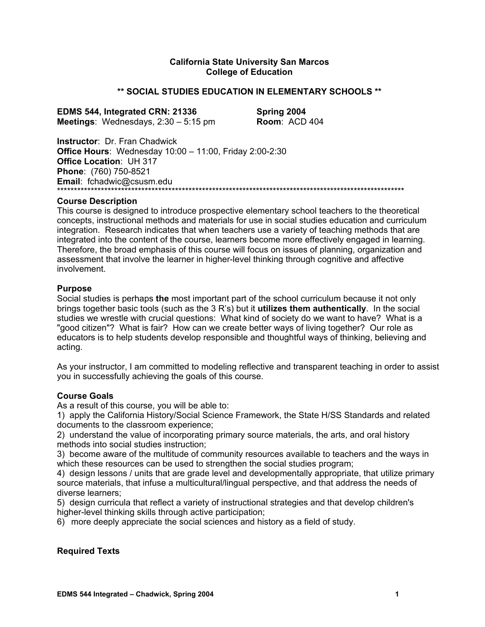### **California State University San Marcos College of Education**

#### **\*\* SOCIAL STUDIES EDUCATION IN ELEMENTARY SCHOOLS \*\***

**EDMS 544, Integrated CRN: 21336 Spring 2004 Meetings**: Wednesdays, 2:30 – 5:15 pm **Room**: ACD 404

**Instructor**: Dr. Fran Chadwick **Office Hours**: Wednesday 10:00 – 11:00, Friday 2:00-2:30 **Office Location**: UH 317 **Phone**: (760) 750-8521 **Email**: fchadwic@csusm.edu \*\*\*\*\*\*\*\*\*\*\*\*\*\*\*\*\*\*\*\*\*\*\*\*\*\*\*\*\*\*\*\*\*\*\*\*\*\*\*\*\*\*\*\*\*\*\*\*\*\*\*\*\*\*\*\*\*\*\*\*\*\*\*\*\*\*\*\*\*\*\*\*\*\*\*\*\*\*\*\*\*\*\*\*\*\*\*\*\*\*\*\*\*\*\*\*\*\*\*\*\*\*\*

#### **Course Description**

This course is designed to introduce prospective elementary school teachers to the theoretical concepts, instructional methods and materials for use in social studies education and curriculum integration. Research indicates that when teachers use a variety of teaching methods that are integrated into the content of the course, learners become more effectively engaged in learning. Therefore, the broad emphasis of this course will focus on issues of planning, organization and assessment that involve the learner in higher-level thinking through cognitive and affective involvement.

#### **Purpose**

Social studies is perhaps **the** most important part of the school curriculum because it not only brings together basic tools (such as the 3 R's) but it **utilizes them authentically**. In the social studies we wrestle with crucial questions: What kind of society do we want to have? What is a "good citizen"? What is fair? How can we create better ways of living together? Our role as educators is to help students develop responsible and thoughtful ways of thinking, believing and acting.

As your instructor, I am committed to modeling reflective and transparent teaching in order to assist you in successfully achieving the goals of this course.

#### **Course Goals**

As a result of this course, you will be able to:

1) apply the California History/Social Science Framework, the State H/SS Standards and related documents to the classroom experience;

2) understand the value of incorporating primary source materials, the arts, and oral history methods into social studies instruction;

3) become aware of the multitude of community resources available to teachers and the ways in which these resources can be used to strengthen the social studies program:

4) design lessons / units that are grade level and developmentally appropriate, that utilize primary source materials, that infuse a multicultural/lingual perspective, and that address the needs of diverse learners;

5) design curricula that reflect a variety of instructional strategies and that develop children's higher-level thinking skills through active participation;

6) more deeply appreciate the social sciences and history as a field of study.

#### **Required Texts**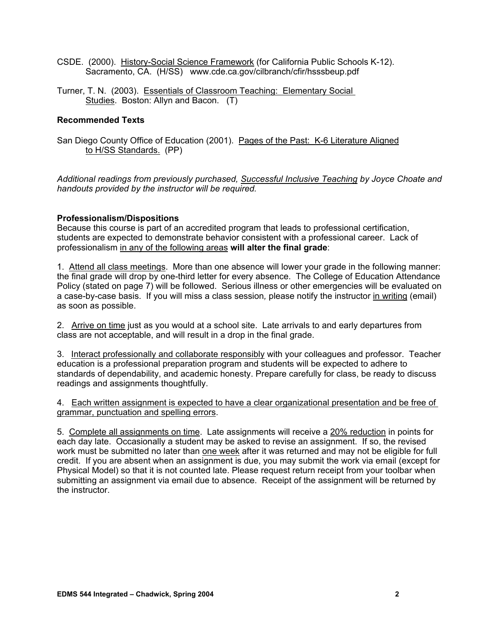- CSDE. (2000). History-Social Science Framework (for California Public Schools K-12). Sacramento, CA. (H/SS) www.cde.ca.gov/cilbranch/cfir/hsssbeup.pdf
- Turner, T. N. (2003). Essentials of Classroom Teaching: Elementary Social Studies. Boston: Allyn and Bacon. (T)

### **Recommended Texts**

San Diego County Office of Education (2001). Pages of the Past: K-6 Literature Aligned to H/SS Standards. (PP)

*Additional readings from previously purchased, Successful Inclusive Teaching by Joyce Choate and handouts provided by the instructor will be required.* 

### **Professionalism/Dispositions**

Because this course is part of an accredited program that leads to professional certification, students are expected to demonstrate behavior consistent with a professional career. Lack of professionalism in any of the following areas **will alter the final grade**:

1. Attend all class meetings. More than one absence will lower your grade in the following manner: the final grade will drop by one-third letter for every absence. The College of Education Attendance Policy (stated on page 7) will be followed. Serious illness or other emergencies will be evaluated on a case-by-case basis. If you will miss a class session*,* please notify the instructor in writing (email) as soon as possible.

2. Arrive on time just as you would at a school site. Late arrivals to and early departures from class are not acceptable, and will result in a drop in the final grade.

3. Interact professionally and collaborate responsibly with your colleagues and professor. Teacher education is a professional preparation program and students will be expected to adhere to standards of dependability, and academic honesty. Prepare carefully for class, be ready to discuss readings and assignments thoughtfully.

4. Each written assignment is expected to have a clear organizational presentation and be free of grammar, punctuation and spelling errors.

5. Complete all assignments on time. Late assignments will receive a 20% reduction in points for each day late. Occasionally a student may be asked to revise an assignment. If so, the revised work must be submitted no later than one week after it was returned and may not be eligible for full credit. If you are absent when an assignment is due, you may submit the work via email (except for Physical Model) so that it is not counted late. Please request return receipt from your toolbar when submitting an assignment via email due to absence. Receipt of the assignment will be returned by the instructor.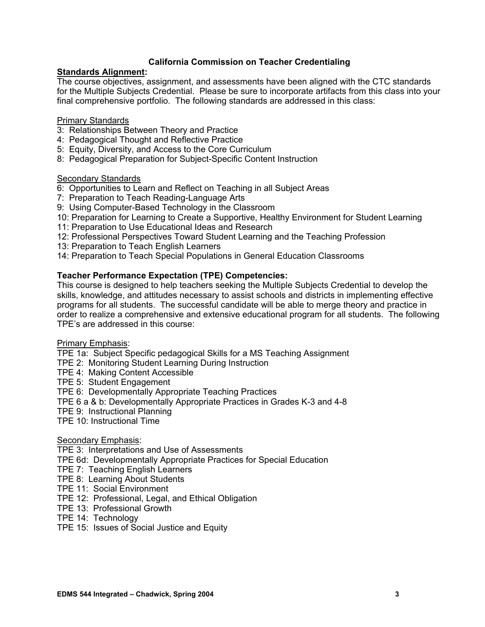## **California Commission on Teacher Credentialing**

## **Standards Alignment:**

The course objectives, assignment, and assessments have been aligned with the CTC standards for the Multiple Subjects Credential. Please be sure to incorporate artifacts from this class into your final comprehensive portfolio. The following standards are addressed in this class:

### Primary Standards

- 3: Relationships Between Theory and Practice
- 4: Pedagogical Thought and Reflective Practice
- 5: Equity, Diversity, and Access to the Core Curriculum
- 8: Pedagogical Preparation for Subject-Specific Content Instruction

### **Secondary Standards**

- 6: Opportunities to Learn and Reflect on Teaching in all Subject Areas
- 7: Preparation to Teach Reading-Language Arts
- 9: Using Computer-Based Technology in the Classroom
- 10: Preparation for Learning to Create a Supportive, Healthy Environment for Student Learning
- 11: Preparation to Use Educational Ideas and Research
- 12: Professional Perspectives Toward Student Learning and the Teaching Profession
- 13: Preparation to Teach English Learners
- 14: Preparation to Teach Special Populations in General Education Classrooms

### **Teacher Performance Expectation (TPE) Competencies:**

This course is designed to help teachers seeking the Multiple Subjects Credential to develop the skills, knowledge, and attitudes necessary to assist schools and districts in implementing effective programs for all students. The successful candidate will be able to merge theory and practice in order to realize a comprehensive and extensive educational program for all students. The following TPE's are addressed in this course:

#### Primary Emphasis:

TPE 1a: Subject Specific pedagogical Skills for a MS Teaching Assignment

- TPE 2: Monitoring Student Learning During Instruction
- TPE 4: Making Content Accessible
- TPE 5: Student Engagement

### TPE 6: Developmentally Appropriate Teaching Practices

- TPE 6 a & b: Developmentally Appropriate Practices in Grades K-3 and 4-8
- TPE 9: Instructional Planning
- TPE 10: Instructional Time

#### Secondary Emphasis:

TPE 3: Interpretations and Use of Assessments

- TPE 6d: Developmentally Appropriate Practices for Special Education
- TPE 7: Teaching English Learners
- TPE 8: Learning About Students
- TPE 11: Social Environment
- TPE 12: Professional, Legal, and Ethical Obligation
- TPE 13: Professional Growth
- TPE 14: Technology
- TPE 15: Issues of Social Justice and Equity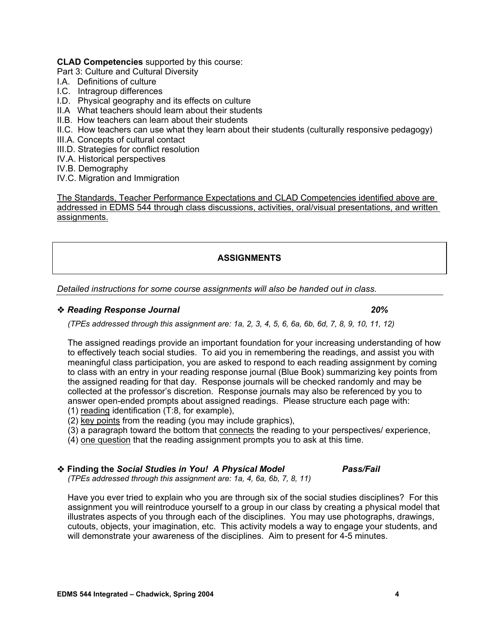### **CLAD Competencies** supported by this course:

Part 3: Culture and Cultural Diversity

- I.A. Definitions of culture
- I.C. Intragroup differences
- I.D. Physical geography and its effects on culture
- II.A What teachers should learn about their students
- II.B. How teachers can learn about their students
- II.C. How teachers can use what they learn about their students (culturally responsive pedagogy)
- III.A. Concepts of cultural contact
- III.D. Strategies for conflict resolution
- IV.A. Historical perspectives
- IV.B. Demography
- IV.C. Migration and Immigration

The Standards, Teacher Performance Expectations and CLAD Competencies identified above are addressed in EDMS 544 through class discussions, activities, oral/visual presentations, and written assignments.

# **ASSIGNMENTS**

*Detailed instructions for some course assignments will also be handed out in class.* 

### *Reading Response Journal 20%*

*(TPEs addressed through this assignment are: 1a, 2, 3, 4, 5, 6, 6a, 6b, 6d, 7, 8, 9, 10, 11, 12)* 

The assigned readings provide an important foundation for your increasing understanding of how to effectively teach social studies. To aid you in remembering the readings, and assist you with meaningful class participation, you are asked to respond to each reading assignment by coming to class with an entry in your reading response journal (Blue Book) summarizing key points from the assigned reading for that day. Response journals will be checked randomly and may be collected at the professor's discretion. Response journals may also be referenced by you to answer open-ended prompts about assigned readings. Please structure each page with: (1) reading identification (T:8, for example),

- (2) key points from the reading (you may include graphics),
- (3) a paragraph toward the bottom that connects the reading to your perspectives/ experience,
- (4) one question that the reading assignment prompts you to ask at this time.
- **Finding the** *Social Studies in You! A Physical Model Pass/Fail (TPEs addressed through this assignment are: 1a, 4, 6a, 6b, 7, 8, 11)*

Have you ever tried to explain who you are through six of the social studies disciplines? For this assignment you will reintroduce yourself to a group in our class by creating a physical model that illustrates aspects of you through each of the disciplines. You may use photographs, drawings, cutouts, objects, your imagination, etc. This activity models a way to engage your students, and will demonstrate your awareness of the disciplines. Aim to present for 4-5 minutes.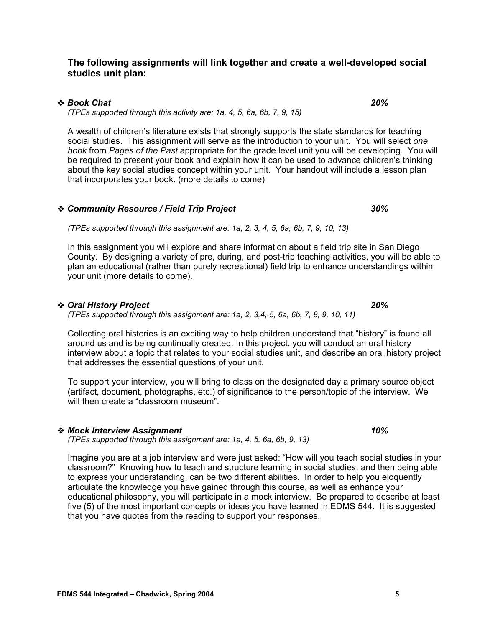### **The following assignments will link together and create a well-developed social studies unit plan:**

## *Book Chat 20%*

*(TPEs supported through this activity are: 1a, 4, 5, 6a, 6b, 7, 9, 15)* 

A wealth of children's literature exists that strongly supports the state standards for teaching social studies. This assignment will serve as the introduction to your unit. You will select *one book* from *Pages of the Past* appropriate for the grade level unit you will be developing. You will be required to present your book and explain how it can be used to advance children's thinking about the key social studies concept within your unit. Your handout will include a lesson plan that incorporates your book. (more details to come)

#### *Community Resource / Field Trip Project 30%*

*(TPEs supported through this assignment are: 1a, 2, 3, 4, 5, 6a, 6b, 7, 9, 10, 13)* 

In this assignment you will explore and share information about a field trip site in San Diego County. By designing a variety of pre, during, and post-trip teaching activities, you will be able to plan an educational (rather than purely recreational) field trip to enhance understandings within your unit (more details to come).

### *Oral History Project 20%*

*(TPEs supported through this assignment are: 1a, 2, 3,4, 5, 6a, 6b, 7, 8, 9, 10, 11)* 

Collecting oral histories is an exciting way to help children understand that "history" is found all around us and is being continually created. In this project, you will conduct an oral history interview about a topic that relates to your social studies unit, and describe an oral history project that addresses the essential questions of your unit.

To support your interview, you will bring to class on the designated day a primary source object (artifact, document, photographs, etc.) of significance to the person/topic of the interview. We will then create a "classroom museum".

# *Mock Interview Assignment 10%*

*(TPEs supported through this assignment are: 1a, 4, 5, 6a, 6b, 9, 13)* 

Imagine you are at a job interview and were just asked: "How will you teach social studies in your classroom?" Knowing how to teach and structure learning in social studies, and then being able to express your understanding, can be two different abilities. In order to help you eloquently articulate the knowledge you have gained through this course, as well as enhance your educational philosophy, you will participate in a mock interview. Be prepared to describe at least five (5) of the most important concepts or ideas you have learned in EDMS 544. It is suggested that you have quotes from the reading to support your responses.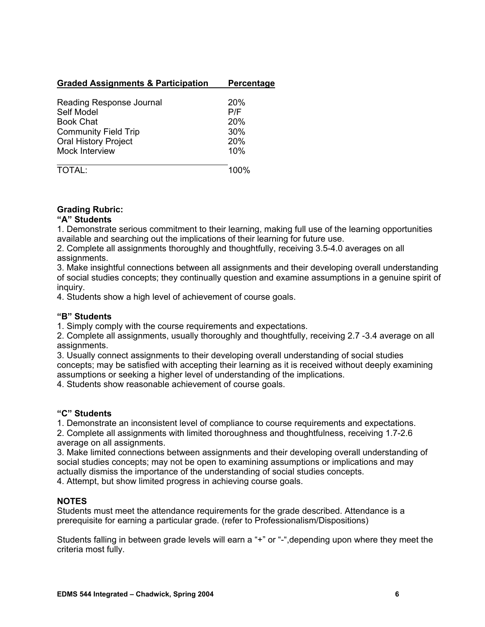## **Graded Assignments & Participation Percentage**

| Reading Response Journal    | 20%        |
|-----------------------------|------------|
| Self Model                  | P/F        |
| <b>Book Chat</b>            | 20%        |
| <b>Community Field Trip</b> | 30%        |
| <b>Oral History Project</b> | <b>20%</b> |
| Mock Interview              | 10%        |
| <b>TOTAL:</b>               | 100%       |

## **Grading Rubric:**

### **"A" Students**

1. Demonstrate serious commitment to their learning, making full use of the learning opportunities available and searching out the implications of their learning for future use.

2. Complete all assignments thoroughly and thoughtfully, receiving 3.5-4.0 averages on all assignments.

3. Make insightful connections between all assignments and their developing overall understanding of social studies concepts; they continually question and examine assumptions in a genuine spirit of inquiry.

4. Students show a high level of achievement of course goals.

### **"B" Students**

1. Simply comply with the course requirements and expectations.

2. Complete all assignments, usually thoroughly and thoughtfully, receiving 2.7 -3.4 average on all assignments.

3. Usually connect assignments to their developing overall understanding of social studies concepts; may be satisfied with accepting their learning as it is received without deeply examining assumptions or seeking a higher level of understanding of the implications.

4. Students show reasonable achievement of course goals.

## **"C" Students**

1. Demonstrate an inconsistent level of compliance to course requirements and expectations.

2. Complete all assignments with limited thoroughness and thoughtfulness, receiving 1.7-2.6 average on all assignments.

3. Make limited connections between assignments and their developing overall understanding of social studies concepts; may not be open to examining assumptions or implications and may actually dismiss the importance of the understanding of social studies concepts.

4. Attempt, but show limited progress in achieving course goals.

## **NOTES**

Students must meet the attendance requirements for the grade described. Attendance is a prerequisite for earning a particular grade. (refer to Professionalism/Dispositions)

Students falling in between grade levels will earn a "+" or "-",depending upon where they meet the criteria most fully.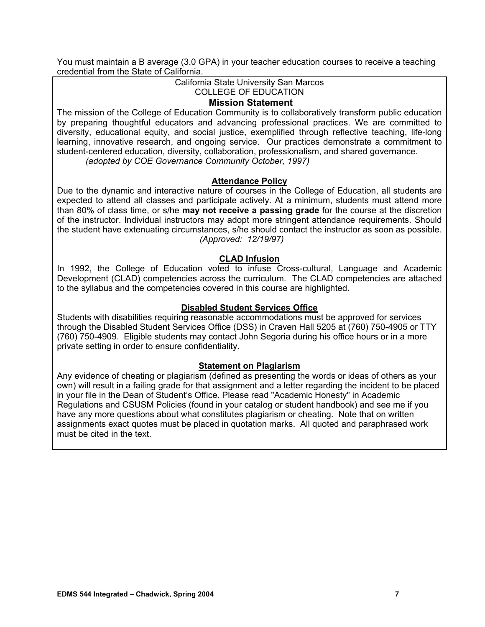You must maintain a B average (3.0 GPA) in your teacher education courses to receive a teaching credential from the State of California.

#### California State University San Marcos COLLEGE OF EDUCATION

#### **Mission Statement**

The mission of the College of Education Community is to collaboratively transform public education by preparing thoughtful educators and advancing professional practices. We are committed to diversity, educational equity, and social justice, exemplified through reflective teaching, life-long learning, innovative research, and ongoing service. Our practices demonstrate a commitment to student-centered education, diversity, collaboration, professionalism, and shared governance. *(adopted by COE Governance Community October, 1997)*

#### **Attendance Policy**

Due to the dynamic and interactive nature of courses in the College of Education, all students are expected to attend all classes and participate actively. At a minimum, students must attend more than 80% of class time, or s/he **may not receive a passing grade** for the course at the discretion of the instructor. Individual instructors may adopt more stringent attendance requirements. Should the student have extenuating circumstances, s/he should contact the instructor as soon as possible. *(Approved: 12/19/97)* 

### **CLAD Infusion**

In 1992, the College of Education voted to infuse Cross-cultural, Language and Academic Development (CLAD) competencies across the curriculum. The CLAD competencies are attached to the syllabus and the competencies covered in this course are highlighted.

#### **Disabled Student Services Office**

Students with disabilities requiring reasonable accommodations must be approved for services through the Disabled Student Services Office (DSS) in Craven Hall 5205 at (760) 750-4905 or TTY (760) 750-4909. Eligible students may contact John Segoria during his office hours or in a more private setting in order to ensure confidentiality.

#### **Statement on Plagiarism**

Any evidence of cheating or plagiarism (defined as presenting the words or ideas of others as your own) will result in a failing grade for that assignment and a letter regarding the incident to be placed in your file in the Dean of Student's Office. Please read "Academic Honesty" in Academic Regulations and CSUSM Policies (found in your catalog or student handbook) and see me if you have any more questions about what constitutes plagiarism or cheating. Note that on written assignments exact quotes must be placed in quotation marks. All quoted and paraphrased work must be cited in the text.